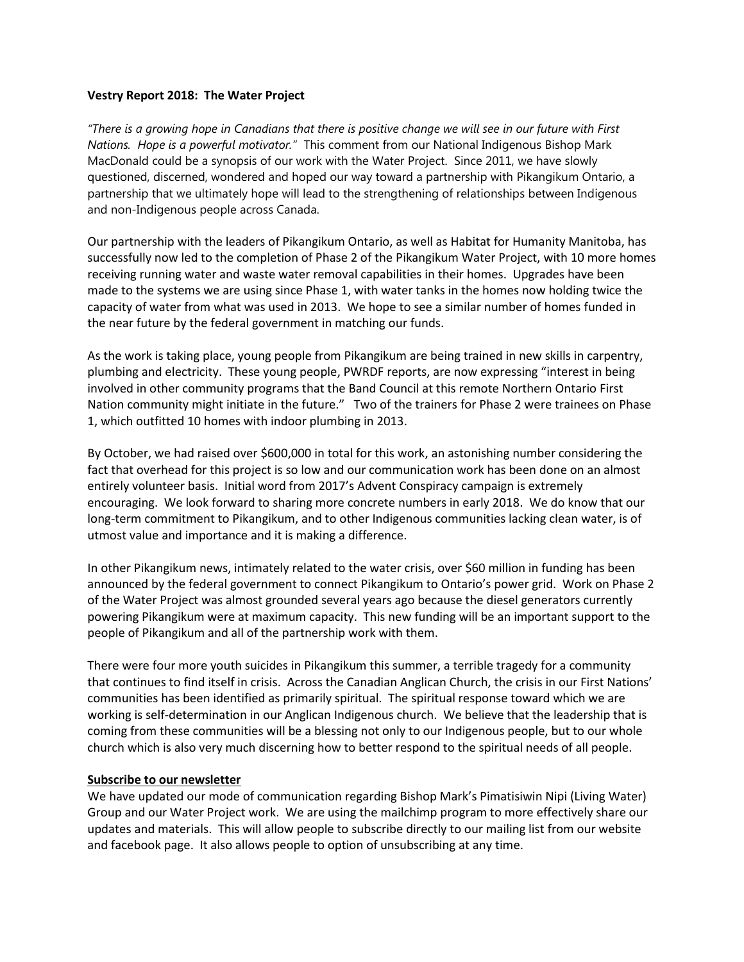## **Vestry Report 2018: The Water Project**

*"There is a growing hope in Canadians that there is positive change we will see in our future with First Nations. Hope is a powerful motivator."* This comment from our National Indigenous Bishop Mark MacDonald could be a synopsis of our work with the Water Project. Since 2011, we have slowly questioned, discerned, wondered and hoped our way toward a partnership with Pikangikum Ontario, a partnership that we ultimately hope will lead to the strengthening of relationships between Indigenous and non-Indigenous people across Canada.

Our partnership with the leaders of Pikangikum Ontario, as well as Habitat for Humanity Manitoba, has successfully now led to the completion of Phase 2 of the Pikangikum Water Project, with 10 more homes receiving running water and waste water removal capabilities in their homes. Upgrades have been made to the systems we are using since Phase 1, with water tanks in the homes now holding twice the capacity of water from what was used in 2013. We hope to see a similar number of homes funded in the near future by the federal government in matching our funds.

As the work is taking place, young people from Pikangikum are being trained in new skills in carpentry, plumbing and electricity. These young people, PWRDF reports, are now expressing "interest in being involved in other community programs that the Band Council at this remote Northern Ontario First Nation community might initiate in the future." Two of the trainers for Phase 2 were trainees on Phase 1, which outfitted 10 homes with indoor plumbing in 2013.

By October, we had raised over \$600,000 in total for this work, an astonishing number considering the fact that overhead for this project is so low and our communication work has been done on an almost entirely volunteer basis. Initial word from 2017's Advent Conspiracy campaign is extremely encouraging. We look forward to sharing more concrete numbers in early 2018. We do know that our long-term commitment to Pikangikum, and to other Indigenous communities lacking clean water, is of utmost value and importance and it is making a difference.

In other Pikangikum news, intimately related to the water crisis, over \$60 million in funding has been announced by the federal government to connect Pikangikum to Ontario's power grid. Work on Phase 2 of the Water Project was almost grounded several years ago because the diesel generators currently powering Pikangikum were at maximum capacity. This new funding will be an important support to the people of Pikangikum and all of the partnership work with them.

There were four more youth suicides in Pikangikum this summer, a terrible tragedy for a community that continues to find itself in crisis. Across the Canadian Anglican Church, the crisis in our First Nations' communities has been identified as primarily spiritual. The spiritual response toward which we are working is self-determination in our Anglican Indigenous church. We believe that the leadership that is coming from these communities will be a blessing not only to our Indigenous people, but to our whole church which is also very much discerning how to better respond to the spiritual needs of all people.

## **Subscribe to our newsletter**

We have updated our mode of communication regarding Bishop Mark's Pimatisiwin Nipi (Living Water) Group and our Water Project work. We are using the mailchimp program to more effectively share our updates and materials. This will allow people to subscribe directly to our mailing list from our website and facebook page. It also allows people to option of unsubscribing at any time.